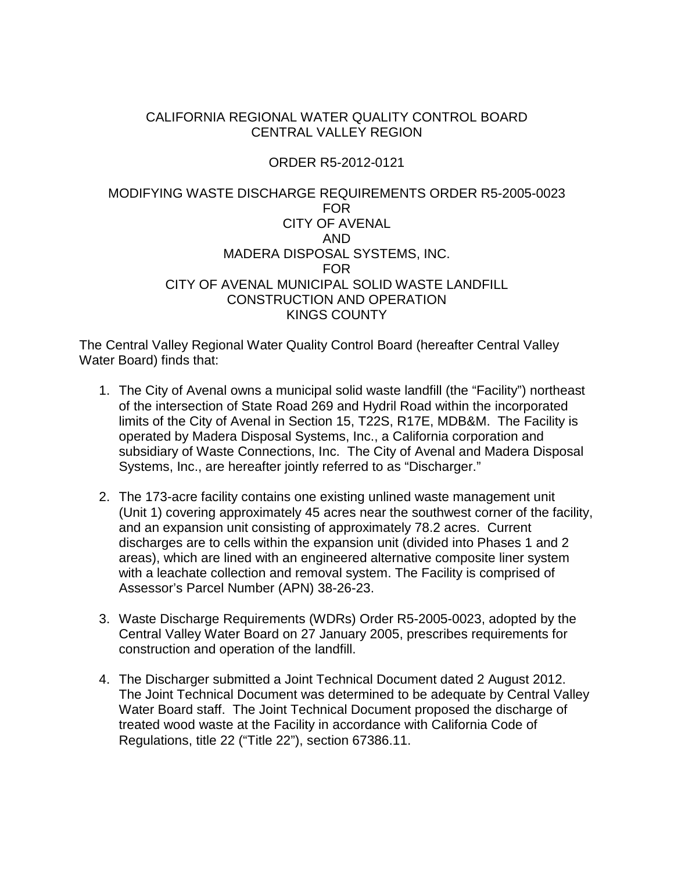#### CALIFORNIA REGIONAL WATER QUALITY CONTROL BOARD CENTRAL VALLEY REGION

#### ORDER R5-2012-0121

#### MODIFYING WASTE DISCHARGE REQUIREMENTS ORDER R5-2005-0023 FOR CITY OF AVENAL AND MADERA DISPOSAL SYSTEMS, INC. FOR CITY OF AVENAL MUNICIPAL SOLID WASTE LANDFILL CONSTRUCTION AND OPERATION KINGS COUNTY

The Central Valley Regional Water Quality Control Board (hereafter Central Valley Water Board) finds that:

- 1. The City of Avenal owns a municipal solid waste landfill (the "Facility") northeast of the intersection of State Road 269 and Hydril Road within the incorporated limits of the City of Avenal in Section 15, T22S, R17E, MDB&M. The Facility is operated by Madera Disposal Systems, Inc., a California corporation and subsidiary of Waste Connections, Inc. The City of Avenal and Madera Disposal Systems, Inc., are hereafter jointly referred to as "Discharger."
- 2. The 173-acre facility contains one existing unlined waste management unit (Unit 1) covering approximately 45 acres near the southwest corner of the facility, and an expansion unit consisting of approximately 78.2 acres. Current discharges are to cells within the expansion unit (divided into Phases 1 and 2 areas), which are lined with an engineered alternative composite liner system with a leachate collection and removal system. The Facility is comprised of Assessor's Parcel Number (APN) 38-26-23.
- 3. Waste Discharge Requirements (WDRs) Order R5-2005-0023, adopted by the Central Valley Water Board on 27 January 2005, prescribes requirements for construction and operation of the landfill.
- 4. The Discharger submitted a Joint Technical Document dated 2 August 2012. The Joint Technical Document was determined to be adequate by Central Valley Water Board staff. The Joint Technical Document proposed the discharge of treated wood waste at the Facility in accordance with California Code of Regulations, title 22 ("Title 22"), section 67386.11.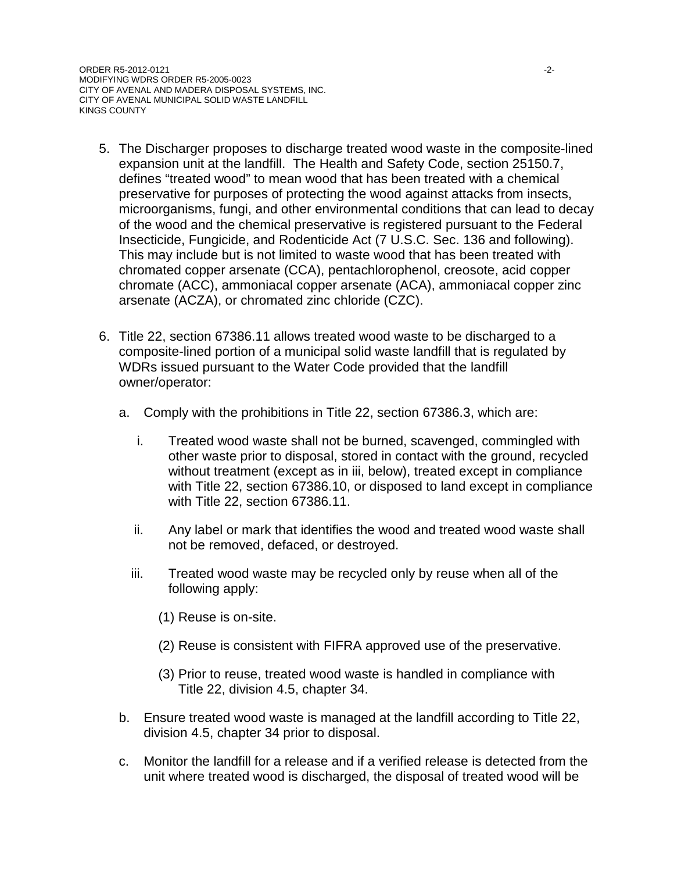- 5. The Discharger proposes to discharge treated wood waste in the composite-lined expansion unit at the landfill. The Health and Safety Code, section 25150.7, defines "treated wood" to mean wood that has been treated with a chemical preservative for purposes of protecting the wood against attacks from insects, microorganisms, fungi, and other environmental conditions that can lead to decay of the wood and the chemical preservative is registered pursuant to the Federal Insecticide, Fungicide, and Rodenticide Act (7 U.S.C. Sec. 136 and following). This may include but is not limited to waste wood that has been treated with chromated copper arsenate (CCA), pentachlorophenol, creosote, acid copper chromate (ACC), ammoniacal copper arsenate (ACA), ammoniacal copper zinc arsenate (ACZA), or chromated zinc chloride (CZC).
- 6. Title 22, section 67386.11 allows treated wood waste to be discharged to a composite-lined portion of a municipal solid waste landfill that is regulated by WDRs issued pursuant to the Water Code provided that the landfill owner/operator:
	- a. Comply with the prohibitions in Title 22, section 67386.3, which are:
		- i. Treated wood waste shall not be burned, scavenged, commingled with other waste prior to disposal, stored in contact with the ground, recycled without treatment (except as in iii, below), treated except in compliance with Title 22, section 67386.10, or disposed to land except in compliance with Title 22, section 67386.11.
		- ii. Any label or mark that identifies the wood and treated wood waste shall not be removed, defaced, or destroyed.
		- iii. Treated wood waste may be recycled only by reuse when all of the following apply:
			- (1) Reuse is on-site.
			- (2) Reuse is consistent with FIFRA approved use of the preservative.
			- (3) Prior to reuse, treated wood waste is handled in compliance with Title 22, division 4.5, chapter 34.
	- b. Ensure treated wood waste is managed at the landfill according to Title 22, division 4.5, chapter 34 prior to disposal.
	- c. Monitor the landfill for a release and if a verified release is detected from the unit where treated wood is discharged, the disposal of treated wood will be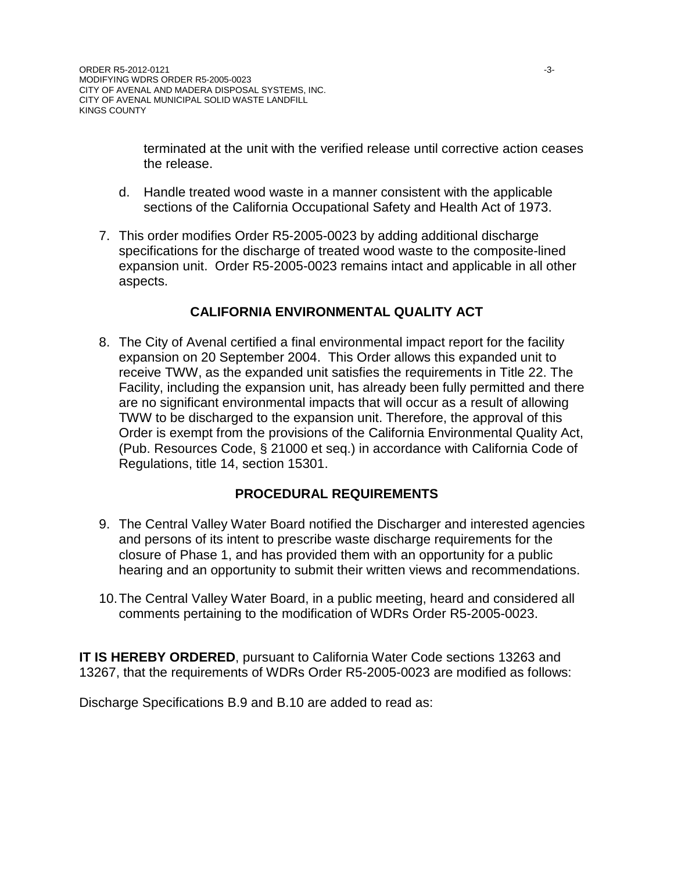terminated at the unit with the verified release until corrective action ceases the release.

- d. Handle treated wood waste in a manner consistent with the applicable sections of the California Occupational Safety and Health Act of 1973.
- 7. This order modifies Order R5-2005-0023 by adding additional discharge specifications for the discharge of treated wood waste to the composite-lined expansion unit. Order R5-2005-0023 remains intact and applicable in all other aspects.

#### **CALIFORNIA ENVIRONMENTAL QUALITY ACT**

8. The City of Avenal certified a final environmental impact report for the facility expansion on 20 September 2004. This Order allows this expanded unit to receive TWW, as the expanded unit satisfies the requirements in Title 22. The Facility, including the expansion unit, has already been fully permitted and there are no significant environmental impacts that will occur as a result of allowing TWW to be discharged to the expansion unit. Therefore, the approval of this Order is exempt from the provisions of the California Environmental Quality Act, (Pub. Resources Code, § 21000 et seq.) in accordance with California Code of Regulations, title 14, section 15301.

#### **PROCEDURAL REQUIREMENTS**

- 9. The Central Valley Water Board notified the Discharger and interested agencies and persons of its intent to prescribe waste discharge requirements for the closure of Phase 1, and has provided them with an opportunity for a public hearing and an opportunity to submit their written views and recommendations.
- 10.The Central Valley Water Board, in a public meeting, heard and considered all comments pertaining to the modification of WDRs Order R5-2005-0023.

**IT IS HEREBY ORDERED, pursuant to California Water Code sections 13263 and** 13267, that the requirements of WDRs Order R5-2005-0023 are modified as follows:

Discharge Specifications B.9 and B.10 are added to read as: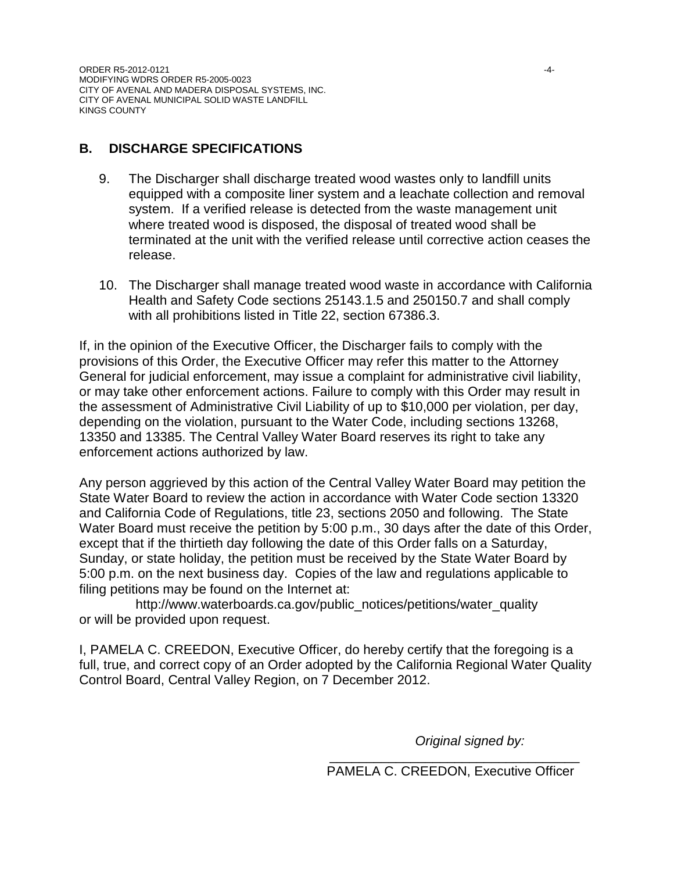### **B. DISCHARGE SPECIFICATIONS**

- 9. The Discharger shall discharge treated wood wastes only to landfill units equipped with a composite liner system and a leachate collection and removal system. If a verified release is detected from the waste management unit where treated wood is disposed, the disposal of treated wood shall be terminated at the unit with the verified release until corrective action ceases the release.
- 10. The Discharger shall manage treated wood waste in accordance with California Health and Safety Code sections 25143.1.5 and 250150.7 and shall comply with all prohibitions listed in Title 22, section 67386.3.

If, in the opinion of the Executive Officer, the Discharger fails to comply with the provisions of this Order, the Executive Officer may refer this matter to the Attorney General for judicial enforcement, may issue a complaint for administrative civil liability, or may take other enforcement actions. Failure to comply with this Order may result in the assessment of Administrative Civil Liability of up to \$10,000 per violation, per day, depending on the violation, pursuant to the Water Code, including sections 13268, 13350 and 13385. The Central Valley Water Board reserves its right to take any enforcement actions authorized by law.

Any person aggrieved by this action of the Central Valley Water Board may petition the State Water Board to review the action in accordance with Water Code section 13320 and California Code of Regulations, title 23, sections 2050 and following. The State Water Board must receive the petition by 5:00 p.m., 30 days after the date of this Order, except that if the thirtieth day following the date of this Order falls on a Saturday, Sunday, or state holiday, the petition must be received by the State Water Board by 5:00 p.m. on the next business day. Copies of the law and regulations applicable to filing petitions may be found on the Internet at:

http://www.waterboards.ca.gov/public\_notices/petitions/water\_quality or will be provided upon request.

I, PAMELA C. CREEDON, Executive Officer, do hereby certify that the foregoing is a full, true, and correct copy of an Order adopted by the California Regional Water Quality Control Board, Central Valley Region, on 7 December 2012.

*Original signed by:*

\_\_\_\_\_\_\_\_\_\_\_\_\_\_\_\_\_\_\_\_\_\_\_\_\_\_\_\_\_\_\_\_\_\_ PAMELA C. CREEDON, Executive Officer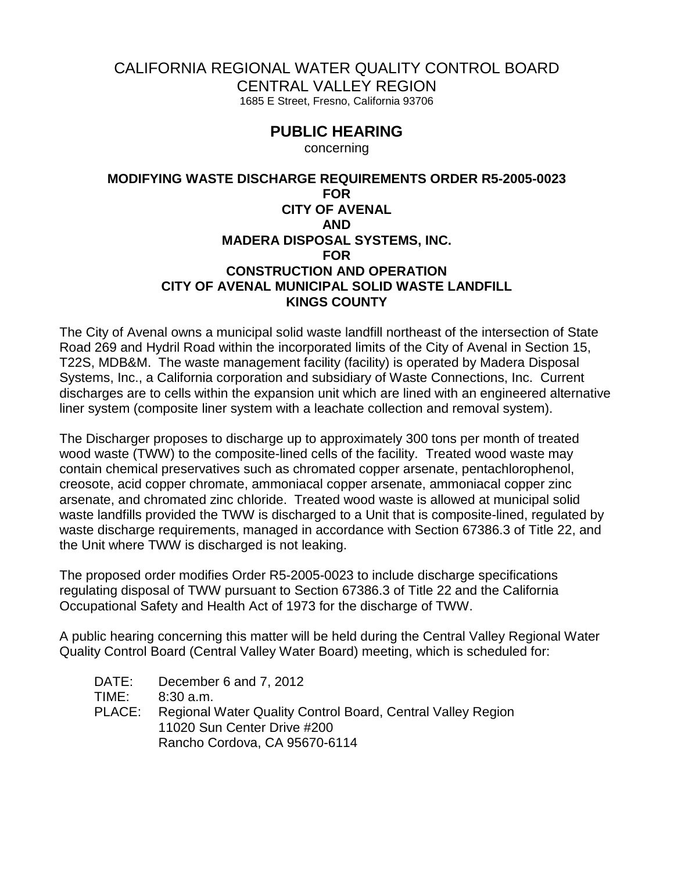## CALIFORNIA REGIONAL WATER QUALITY CONTROL BOARD

CENTRAL VALLEY REGION

1685 E Street, Fresno, California 93706

# **PUBLIC HEARING**

concerning

#### **MODIFYING WASTE DISCHARGE REQUIREMENTS ORDER R5-2005-0023 FOR CITY OF AVENAL AND MADERA DISPOSAL SYSTEMS, INC. FOR CONSTRUCTION AND OPERATION CITY OF AVENAL MUNICIPAL SOLID WASTE LANDFILL KINGS COUNTY**

The City of Avenal owns a municipal solid waste landfill northeast of the intersection of State Road 269 and Hydril Road within the incorporated limits of the City of Avenal in Section 15, T22S, MDB&M. The waste management facility (facility) is operated by Madera Disposal Systems, Inc., a California corporation and subsidiary of Waste Connections, Inc. Current discharges are to cells within the expansion unit which are lined with an engineered alternative liner system (composite liner system with a leachate collection and removal system).

The Discharger proposes to discharge up to approximately 300 tons per month of treated wood waste (TWW) to the composite-lined cells of the facility. Treated wood waste may contain chemical preservatives such as chromated copper arsenate, pentachlorophenol, creosote, acid copper chromate, ammoniacal copper arsenate, ammoniacal copper zinc arsenate, and chromated zinc chloride. Treated wood waste is allowed at municipal solid waste landfills provided the TWW is discharged to a Unit that is composite-lined, regulated by waste discharge requirements, managed in accordance with Section 67386.3 of Title 22, and the Unit where TWW is discharged is not leaking.

The proposed order modifies Order R5-2005-0023 to include discharge specifications regulating disposal of TWW pursuant to Section 67386.3 of Title 22 and the California Occupational Safety and Health Act of 1973 for the discharge of TWW.

A public hearing concerning this matter will be held during the Central Valley Regional Water Quality Control Board (Central Valley Water Board) meeting, which is scheduled for:

| DATE:  | December 6 and 7, 2012                                      |
|--------|-------------------------------------------------------------|
| TIME:  | $8:30$ a.m.                                                 |
| PLACE: | Regional Water Quality Control Board, Central Valley Region |
|        | 11020 Sun Center Drive #200                                 |
|        | Rancho Cordova, CA 95670-6114                               |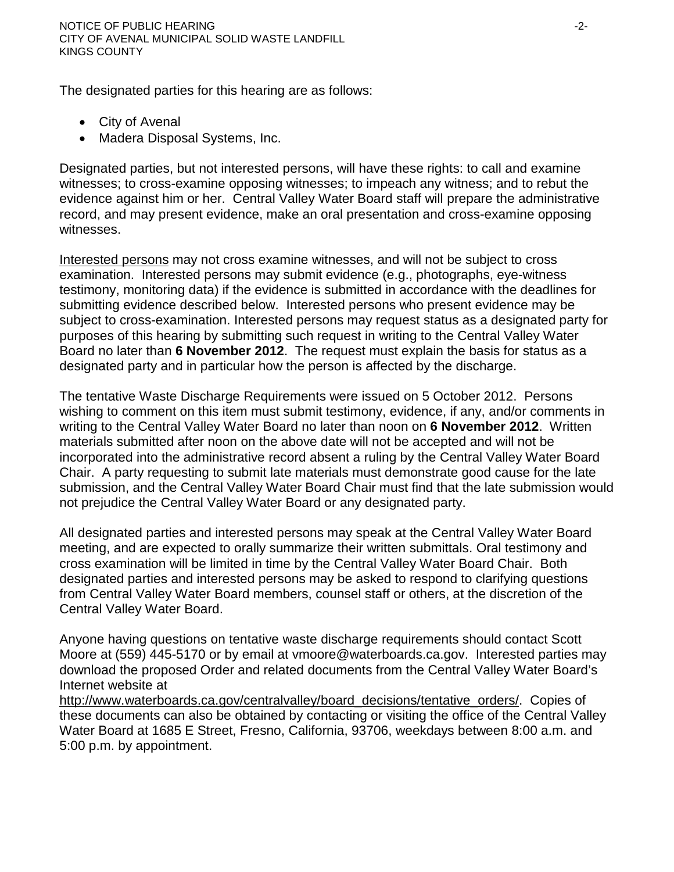The designated parties for this hearing are as follows:

- City of Avenal
- Madera Disposal Systems, Inc.

Designated parties, but not interested persons, will have these rights: to call and examine witnesses; to cross-examine opposing witnesses; to impeach any witness; and to rebut the evidence against him or her. Central Valley Water Board staff will prepare the administrative record, and may present evidence, make an oral presentation and cross-examine opposing witnesses.

Interested persons may not cross examine witnesses, and will not be subject to cross examination. Interested persons may submit evidence (e.g., photographs, eye-witness testimony, monitoring data) if the evidence is submitted in accordance with the deadlines for submitting evidence described below. Interested persons who present evidence may be subject to cross-examination. Interested persons may request status as a designated party for purposes of this hearing by submitting such request in writing to the Central Valley Water Board no later than **6 November 2012**. The request must explain the basis for status as a designated party and in particular how the person is affected by the discharge.

The tentative Waste Discharge Requirements were issued on 5 October 2012. Persons wishing to comment on this item must submit testimony, evidence, if any, and/or comments in writing to the Central Valley Water Board no later than noon on **6 November 2012**. Written materials submitted after noon on the above date will not be accepted and will not be incorporated into the administrative record absent a ruling by the Central Valley Water Board Chair. A party requesting to submit late materials must demonstrate good cause for the late submission, and the Central Valley Water Board Chair must find that the late submission would not prejudice the Central Valley Water Board or any designated party.

All designated parties and interested persons may speak at the Central Valley Water Board meeting, and are expected to orally summarize their written submittals. Oral testimony and cross examination will be limited in time by the Central Valley Water Board Chair. Both designated parties and interested persons may be asked to respond to clarifying questions from Central Valley Water Board members, counsel staff or others, at the discretion of the Central Valley Water Board.

Anyone having questions on tentative waste discharge requirements should contact Scott Moore at (559) 445-5170 or by email at vmoore@waterboards.ca.gov. Interested parties may download the proposed Order and related documents from the Central Valley Water Board's Internet website at

[http://www.waterboards.ca.gov/centralvalley/board\\_decisions/tentative\\_orders/.](http://www.waterboards.ca.gov/centralvalley/board_decisions/tentative_orders/) Copies of these documents can also be obtained by contacting or visiting the office of the Central Valley Water Board at 1685 E Street, Fresno, California, 93706, weekdays between 8:00 a.m. and 5:00 p.m. by appointment.